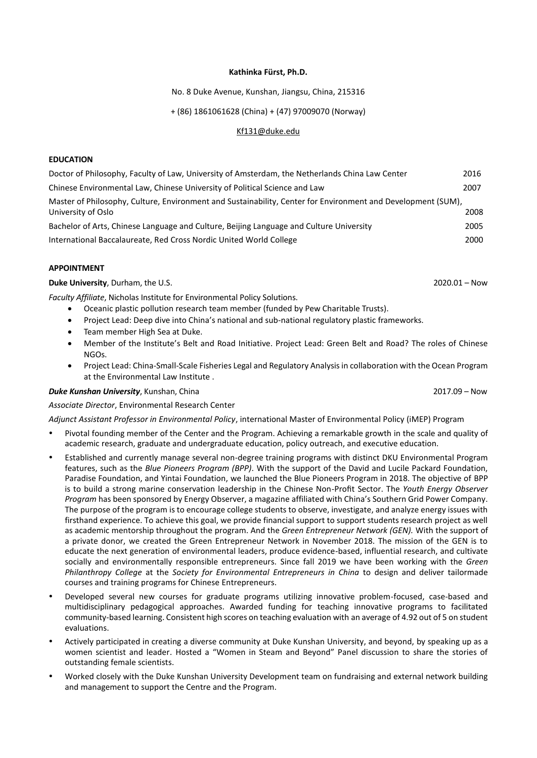#### **Kathinka Fürst, Ph.D.**

## No. 8 Duke Avenue, Kunshan, Jiangsu, China, 215316

# + (86) 1861061628 (China) + (47) 97009070 (Norway)

#### [Kf131@duke.edu](mailto:Kf131@duke.edu)

#### **EDUCATION**

| Doctor of Philosophy, Faculty of Law, University of Amsterdam, the Netherlands China Law Center                                    | 2016 |
|------------------------------------------------------------------------------------------------------------------------------------|------|
| Chinese Environmental Law, Chinese University of Political Science and Law                                                         | 2007 |
| Master of Philosophy, Culture, Environment and Sustainability, Center for Environment and Development (SUM),<br>University of Oslo | 2008 |
| Bachelor of Arts, Chinese Language and Culture, Beijing Language and Culture University                                            | 2005 |
| International Baccalaureate, Red Cross Nordic United World College                                                                 | 2000 |

#### **APPOINTMENT**

**Duke University**, Durham, the U.S. 2020.01 – Now

*Faculty Affiliate*, Nicholas Institute for Environmental Policy Solutions.

- Oceanic plastic pollution research team member (funded by Pew Charitable Trusts).
- Project Lead: Deep dive into China's national and sub-national regulatory plastic frameworks.
- Team member High Sea at Duke.
- Member of the Institute's Belt and Road Initiative. Project Lead: Green Belt and Road? The roles of Chinese NGOs.
- Project Lead: China-Small-Scale Fisheries Legal and Regulatory Analysis in collaboration with the Ocean Program at the Environmental Law Institute .

## *Duke Kunshan University*, Kunshan, China 2017.09 – Now

*Associate Director*, Environmental Research Center

*Adjunct Assistant Professor in Environmental Policy*, international Master of Environmental Policy (iMEP) Program

- Pivotal founding member of the Center and the Program. Achieving a remarkable growth in the scale and quality of academic research, graduate and undergraduate education, policy outreach, and executive education.
- Established and currently manage several non-degree training programs with distinct DKU Environmental Program features, such as the *Blue Pioneers Program (BPP)*. With the support of the David and Lucile Packard Foundation, Paradise Foundation, and Yintai Foundation, we launched the Blue Pioneers Program in 2018. The objective of BPP is to build a strong marine conservation leadership in the Chinese Non-Profit Sector. The *Youth Energy Observer Program* has been sponsored by Energy Observer, a magazine affiliated with China's Southern Grid Power Company. The purpose of the program is to encourage college students to observe, investigate, and analyze energy issues with firsthand experience. To achieve this goal, we provide financial support to support students research project as well as academic mentorship throughout the program. And the *Green Entrepreneur Network (GEN).* With the support of a private donor, we created the Green Entrepreneur Network in November 2018. The mission of the GEN is to educate the next generation of environmental leaders, produce evidence-based, influential research, and cultivate socially and environmentally responsible entrepreneurs. Since fall 2019 we have been working with the *Green Philanthropy College* at the *Society for Environmental Entrepreneurs in China* to design and deliver tailormade courses and training programs for Chinese Entrepreneurs.
- Developed several new courses for graduate programs utilizing innovative problem-focused, case-based and multidisciplinary pedagogical approaches. Awarded funding for teaching innovative programs to facilitated community-based learning. Consistent high scores on teaching evaluation with an average of 4.92 out of 5 on student evaluations.
- Actively participated in creating a diverse community at Duke Kunshan University, and beyond, by speaking up as a women scientist and leader. Hosted a "Women in Steam and Beyond" Panel discussion to share the stories of outstanding female scientists.
- Worked closely with the Duke Kunshan University Development team on fundraising and external network building and management to support the Centre and the Program.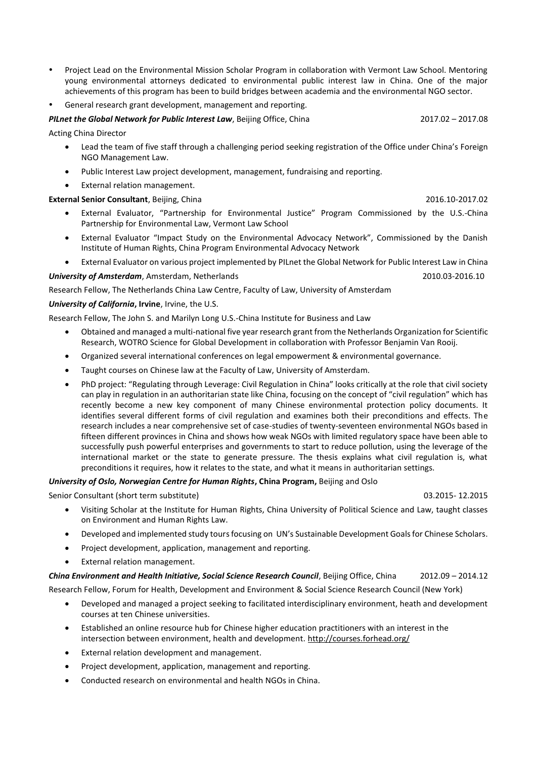- Project Lead on the Environmental Mission Scholar Program in collaboration with Vermont Law School. Mentoring young environmental attorneys dedicated to environmental public interest law in China. One of the major achievements of this program has been to build bridges between academia and the environmental NGO sector.
- General research grant development, management and reporting.

#### *PILnet the Global Network for Public Interest Law, Beijing Office, China* 2017.02 – 2017.02 – 2017.08

Acting China Director

- Lead the team of five staff through a challenging period seeking registration of the Office under China's Foreign NGO Management Law.
- Public Interest Law project development, management, fundraising and reporting.
- External relation management.

## **External Senior Consultant**, Beijing, China 2016.10-2017.02

- External Evaluator, "Partnership for Environmental Justice" Program Commissioned by the U.S.-China Partnership for Environmental Law, Vermont Law School
- External Evaluator "Impact Study on the Environmental Advocacy Network", Commissioned by the Danish Institute of Human Rights, China Program Environmental Advocacy Network
- External Evaluator on various project implemented by PILnet the Global Network for Public Interest Law in China

*University of Amsterdam*, Amsterdam, Netherlands 2010.03-2016.10

Research Fellow, The Netherlands China Law Centre, Faculty of Law, University of Amsterdam

# *University of California***, Irvine**, Irvine, the U.S.

Research Fellow, The John S. and Marilyn Long U.S.-China Institute for Business and Law

- Obtained and managed a multi-national five year research grant from the Netherlands Organization for Scientific Research, WOTRO Science for Global Development in collaboration with Professor Benjamin Van Rooij.
- Organized several international conferences on legal empowerment & environmental governance.
- Taught courses on Chinese law at the Faculty of Law, University of Amsterdam.
- PhD project: "Regulating through Leverage: Civil Regulation in China" looks critically at the role that civil society can play in regulation in an authoritarian state like China, focusing on the concept of "civil regulation" which has recently become a new key component of many Chinese environmental protection policy documents. It identifies several different forms of civil regulation and examines both their preconditions and effects. The research includes a near comprehensive set of case-studies of twenty-seventeen environmental NGOs based in fifteen different provinces in China and shows how weak NGOs with limited regulatory space have been able to successfully push powerful enterprises and governments to start to reduce pollution, using the leverage of the international market or the state to generate pressure. The thesis explains what civil regulation is, what preconditions it requires, how it relates to the state, and what it means in authoritarian settings.

## *University of Oslo, Norwegian Centre for Human Rights***, China Program,** Beijing and Oslo

Senior Consultant (short term substitute) 03.2015- 12.2015

- Visiting Scholar at the Institute for Human Rights, China University of Political Science and Law, taught classes on Environment and Human Rights Law.
- Developed and implemented study toursfocusing on UN's Sustainable Development Goals for Chinese Scholars.
- Project development, application, management and reporting.
- External relation management.

*China Environment and Health Initiative, Social Science Research Council*, Beijing Office, China 2012.09 – 2014.12 Research Fellow, Forum for Health, Development and Environment & Social Science Research Council (New York)

- Developed and managed a project seeking to facilitated interdisciplinary environment, heath and development courses at ten Chinese universities.
- Established an online resource hub for Chinese higher education practitioners with an interest in the intersection between environment, health and development.<http://courses.forhead.org/>
- External relation development and management.
- Project development, application, management and reporting.
- Conducted research on environmental and health NGOs in China.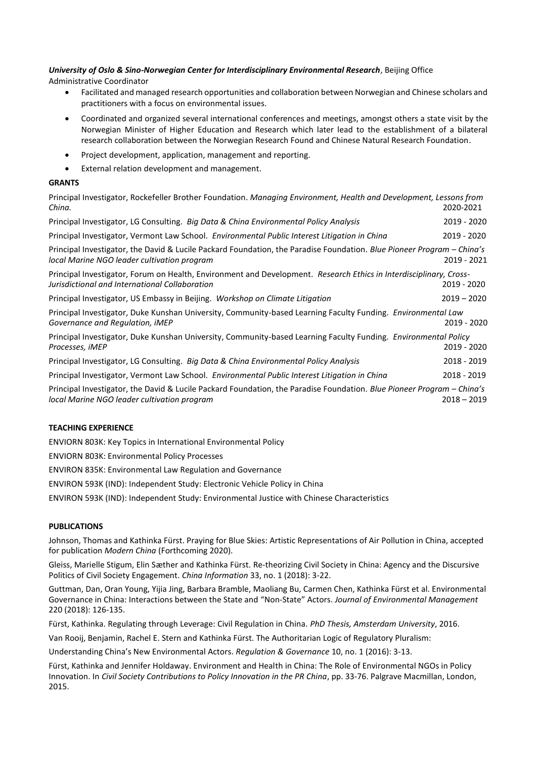## *University of Oslo & Sino-Norwegian Center for Interdisciplinary Environmental Research*, Beijing Office Administrative Coordinator

- Facilitated and managed research opportunities and collaboration between Norwegian and Chinese scholars and practitioners with a focus on environmental issues.
- Coordinated and organized several international conferences and meetings, amongst others a state visit by the Norwegian Minister of Higher Education and Research which later lead to the establishment of a bilateral research collaboration between the Norwegian Research Found and Chinese Natural Research Foundation.
- Project development, application, management and reporting.
- External relation development and management.

# **GRANTS**

| Principal Investigator, Rockefeller Brother Foundation. Managing Environment, Health and Development, Lessons from<br>China.                                          | 2020-2021     |
|-----------------------------------------------------------------------------------------------------------------------------------------------------------------------|---------------|
| Principal Investigator, LG Consulting. Big Data & China Environmental Policy Analysis                                                                                 | 2019 - 2020   |
| Principal Investigator, Vermont Law School. Environmental Public Interest Litigation in China                                                                         | 2019 - 2020   |
| Principal Investigator, the David & Lucile Packard Foundation, the Paradise Foundation. Blue Pioneer Program - China's<br>local Marine NGO leader cultivation program | 2019 - 2021   |
| Principal Investigator, Forum on Health, Environment and Development. Research Ethics in Interdisciplinary, Cross-<br>Jurisdictional and International Collaboration  | 2019 - 2020   |
| Principal Investigator, US Embassy in Beijing. Workshop on Climate Litigation                                                                                         | $2019 - 2020$ |
| Principal Investigator, Duke Kunshan University, Community-based Learning Faculty Funding. Environmental Law<br>Governance and Regulation, iMEP                       | 2019 - 2020   |
| Principal Investigator, Duke Kunshan University, Community-based Learning Faculty Funding. Environmental Policy<br>Processes, <i>iMEP</i>                             | 2019 - 2020   |
| Principal Investigator, LG Consulting. Big Data & China Environmental Policy Analysis                                                                                 | 2018 - 2019   |
| Principal Investigator, Vermont Law School. Environmental Public Interest Litigation in China                                                                         | 2018 - 2019   |
| Principal Investigator, the David & Lucile Packard Foundation, the Paradise Foundation. Blue Pioneer Program – China's<br>local Marine NGO leader cultivation program | $2018 - 2019$ |

## **TEACHING EXPERIENCE**

ENVIORN 803K: Key Topics in International Environmental Policy

ENVIORN 803K: Environmental Policy Processes

ENVIRON 835K: Environmental Law Regulation and Governance

ENVIRON 593K (IND): Independent Study: Electronic Vehicle Policy in China

ENVIRON 593K (IND): Independent Study: Environmental Justice with Chinese Characteristics

## **PUBLICATIONS**

Johnson, Thomas and Kathinka Fürst. Praying for Blue Skies: Artistic Representations of Air Pollution in China, accepted for publication *Modern China* (Forthcoming 2020).

Gleiss, Marielle Stigum, Elin Sæther and Kathinka Fürst. Re-theorizing Civil Society in China: Agency and the Discursive Politics of Civil Society Engagement. *China Information* 33, no. 1 (2018): 3-22.

Guttman, Dan, Oran Young, Yijia Jing, Barbara Bramble, Maoliang Bu, Carmen Chen, Kathinka Fürst et al. Environmental Governance in China: Interactions between the State and "Non-State" Actors. *Journal of Environmental Management* 220 (2018): 126-135.

Fürst, Kathinka. Regulating through Leverage: Civil Regulation in China. *PhD Thesis, Amsterdam University*, 2016.

Van Rooij, Benjamin, Rachel E. Stern and Kathinka Fürst. The Authoritarian Logic of Regulatory Pluralism:

Understanding China's New Environmental Actors. *Regulation & Governance* 10, no. 1 (2016): 3-13.

Fürst, Kathinka and Jennifer Holdaway. Environment and Health in China: The Role of Environmental NGOs in Policy Innovation. In *Civil Society Contributions to Policy Innovation in the PR China*, pp. 33-76. Palgrave Macmillan, London, 2015.